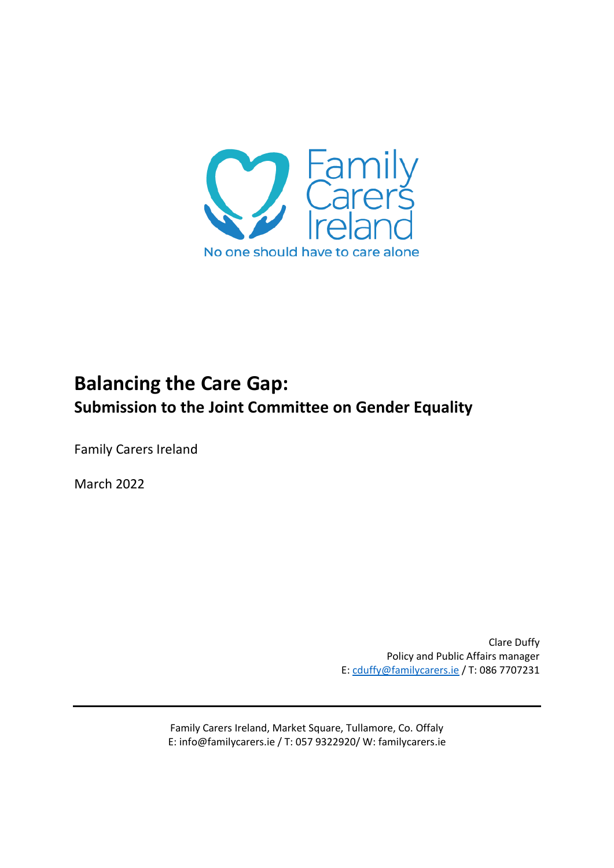

# **Balancing the Care Gap: Submission to the Joint Committee on Gender Equality**

Family Carers Ireland

March 2022

Clare Duffy Policy and Public Affairs manager E[: cduffy@familycarers.ie](mailto:cduffy@familycarers.ie) / T: 086 7707231

Family Carers Ireland, Market Square, Tullamore, Co. Offaly E: info@familycarers.ie / T: 057 9322920/ W: familycarers.ie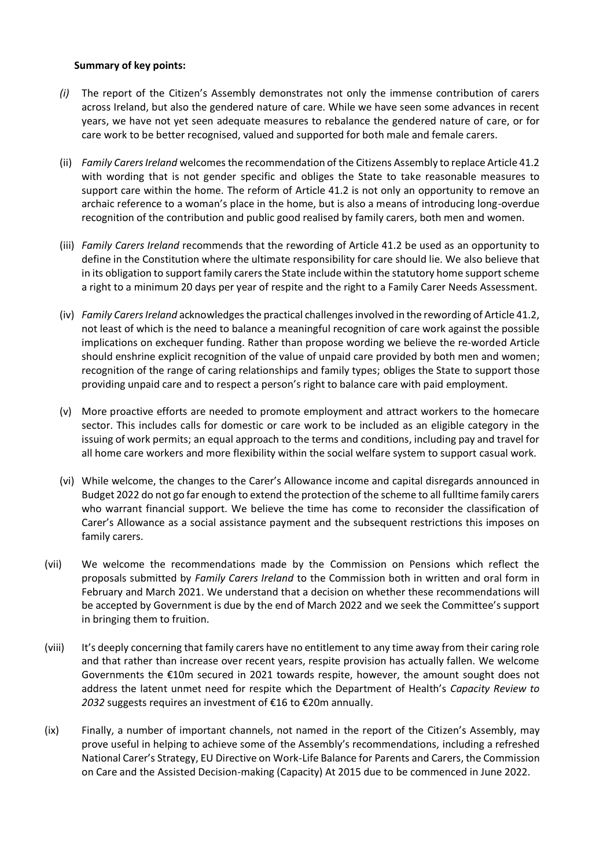#### **Summary of key points:**

- *(i)* The report of the Citizen's Assembly demonstrates not only the immense contribution of carers across Ireland, but also the gendered nature of care. While we have seen some advances in recent years, we have not yet seen adequate measures to rebalance the gendered nature of care, or for care work to be better recognised, valued and supported for both male and female carers.
- (ii) *Family Carers Ireland* welcomes the recommendation of the Citizens Assembly to replace Article 41.2 with wording that is not gender specific and obliges the State to take reasonable measures to support care within the home. The reform of Article 41.2 is not only an opportunity to remove an archaic reference to a woman's place in the home, but is also a means of introducing long-overdue recognition of the contribution and public good realised by family carers, both men and women.
- (iii) *Family Carers Ireland* recommends that the rewording of Article 41.2 be used as an opportunity to define in the Constitution where the ultimate responsibility for care should lie. We also believe that in its obligation to support family carers the State include within the statutory home support scheme a right to a minimum 20 days per year of respite and the right to a Family Carer Needs Assessment.
- (iv) *Family Carers Ireland* acknowledges the practical challenges involved in the rewording of Article 41.2, not least of which is the need to balance a meaningful recognition of care work against the possible implications on exchequer funding. Rather than propose wording we believe the re-worded Article should enshrine explicit recognition of the value of unpaid care provided by both men and women; recognition of the range of caring relationships and family types; obliges the State to support those providing unpaid care and to respect a person's right to balance care with paid employment.
- (v) More proactive efforts are needed to promote employment and attract workers to the homecare sector. This includes calls for domestic or care work to be included as an eligible category in the issuing of work permits; an equal approach to the terms and conditions, including pay and travel for all home care workers and more flexibility within the social welfare system to support casual work.
- (vi) While welcome, the changes to the Carer's Allowance income and capital disregards announced in Budget 2022 do not go far enough to extend the protection of the scheme to all fulltime family carers who warrant financial support. We believe the time has come to reconsider the classification of Carer's Allowance as a social assistance payment and the subsequent restrictions this imposes on family carers.
- (vii) We welcome the recommendations made by the Commission on Pensions which reflect the proposals submitted by *Family Carers Ireland* to the Commission both in written and oral form in February and March 2021. We understand that a decision on whether these recommendations will be accepted by Government is due by the end of March 2022 and we seek the Committee's support in bringing them to fruition.
- (viii) It's deeply concerning that family carers have no entitlement to any time away from their caring role and that rather than increase over recent years, respite provision has actually fallen. We welcome Governments the €10m secured in 2021 towards respite, however, the amount sought does not address the latent unmet need for respite which the Department of Health's *Capacity Review to 2032* suggests requires an investment of €16 to €20m annually.
- (ix) Finally, a number of important channels, not named in the report of the Citizen's Assembly, may prove useful in helping to achieve some of the Assembly's recommendations, including a refreshed National Carer's Strategy, EU Directive on Work-Life Balance for Parents and Carers, the Commission on Care and the Assisted Decision-making (Capacity) At 2015 due to be commenced in June 2022.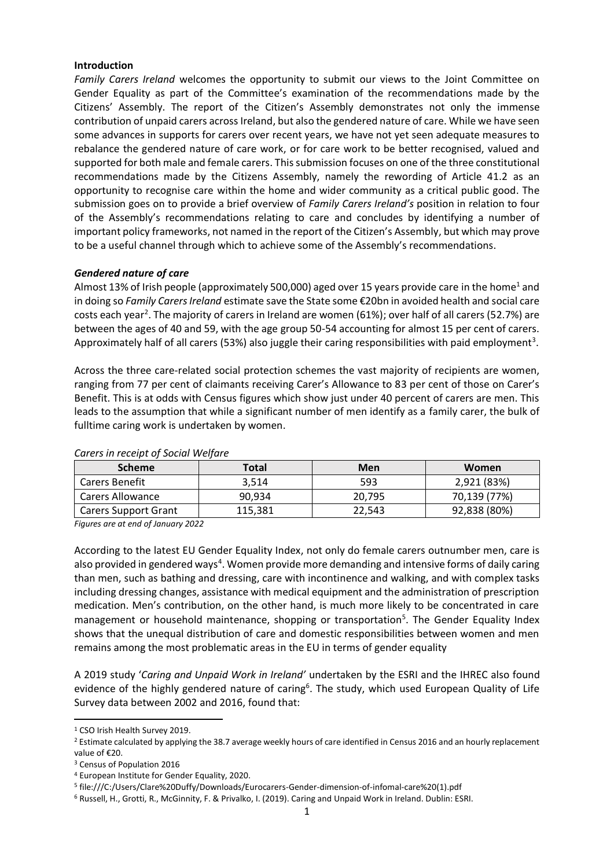#### **Introduction**

*Family Carers Ireland* welcomes the opportunity to submit our views to the Joint Committee on Gender Equality as part of the Committee's examination of the recommendations made by the Citizens' Assembly. The report of the Citizen's Assembly demonstrates not only the immense contribution of unpaid carers across Ireland, but also the gendered nature of care. While we have seen some advances in supports for carers over recent years, we have not yet seen adequate measures to rebalance the gendered nature of care work, or for care work to be better recognised, valued and supported for both male and female carers. This submission focuses on one of the three constitutional recommendations made by the Citizens Assembly, namely the rewording of Article 41.2 as an opportunity to recognise care within the home and wider community as a critical public good. The submission goes on to provide a brief overview of *Family Carers Ireland's* position in relation to four of the Assembly's recommendations relating to care and concludes by identifying a number of important policy frameworks, not named in the report of the Citizen's Assembly, but which may prove to be a useful channel through which to achieve some of the Assembly's recommendations.

#### *Gendered nature of care*

Almost 13% of Irish people (approximately 500,000) aged over 15 years provide care in the home<sup>1</sup> and in doing so *Family Carers Ireland* estimate save the State some €20bn in avoided health and social care costs each year<sup>2</sup>. The majority of carers in Ireland are women (61%); over half of all carers (52.7%) are between the ages of 40 and 59, with the age group 50-54 accounting for almost 15 per cent of carers. Approximately half of all carers (53%) also juggle their caring responsibilities with paid employment<sup>3</sup>.

Across the three care-related social protection schemes the vast majority of recipients are women, ranging from 77 per cent of claimants receiving Carer's Allowance to 83 per cent of those on Carer's Benefit. This is at odds with Census figures which show just under 40 percent of carers are men. This leads to the assumption that while a significant number of men identify as a family carer, the bulk of fulltime caring work is undertaken by women.

| <b>Scheme</b>           | Total   | Men    | Women        |
|-------------------------|---------|--------|--------------|
| <b>Carers Benefit</b>   | 3,514   | 593    | 2,921 (83%)  |
| <b>Carers Allowance</b> | 90,934  | 20,795 | 70,139 (77%) |
| Carers Support Grant    | 115.381 | 22,543 | 92,838 (80%) |

#### *Carers in receipt of Social Welfare*

*Figures are at end of January 2022*

According to the latest EU Gender Equality Index, not only do female carers outnumber men, care is also provided in gendered ways<sup>4</sup>. Women provide more demanding and intensive forms of daily caring than men, such as bathing and dressing, care with incontinence and walking, and with complex tasks including dressing changes, assistance with medical equipment and the administration of prescription medication. Men's contribution, on the other hand, is much more likely to be concentrated in care management or household maintenance, shopping or transportation<sup>5</sup>. The Gender Equality Index shows that the unequal distribution of care and domestic responsibilities between women and men remains among the most problematic areas in the EU in terms of gender equality

A 2019 study '*Caring and Unpaid Work in Ireland'* undertaken by the ESRI and the IHREC also found evidence of the highly gendered nature of caring<sup>6</sup>. The study, which used European Quality of Life Survey data between 2002 and 2016, found that:

1

<sup>1</sup> CSO Irish Health Survey 2019.

<sup>&</sup>lt;sup>2</sup> Estimate calculated by applying the 38.7 average weekly hours of care identified in Census 2016 and an hourly replacement value of €20.

<sup>3</sup> Census of Population 2016

<sup>4</sup> European Institute for Gender Equality, 2020.

<sup>5</sup> file:///C:/Users/Clare%20Duffy/Downloads/Eurocarers-Gender-dimension-of-infomal-care%20(1).pdf

<sup>6</sup> Russell, H., Grotti, R., McGinnity, F. & Privalko, I. (2019). Caring and Unpaid Work in Ireland. Dublin: ESRI.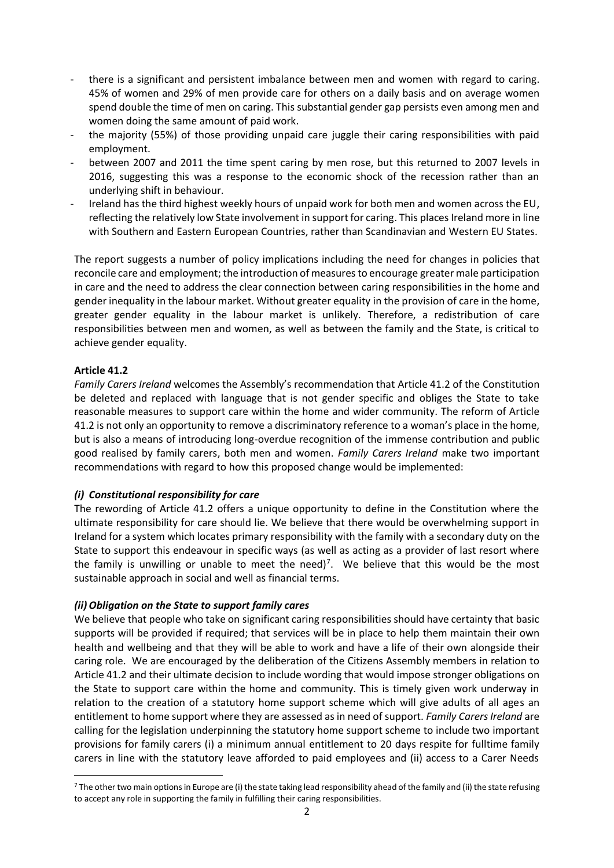- there is a significant and persistent imbalance between men and women with regard to caring. 45% of women and 29% of men provide care for others on a daily basis and on average women spend double the time of men on caring. This substantial gender gap persists even among men and women doing the same amount of paid work.
- the majority (55%) of those providing unpaid care juggle their caring responsibilities with paid employment.
- between 2007 and 2011 the time spent caring by men rose, but this returned to 2007 levels in 2016, suggesting this was a response to the economic shock of the recession rather than an underlying shift in behaviour.
- Ireland has the third highest weekly hours of unpaid work for both men and women across the EU, reflecting the relatively low State involvement in support for caring. This places Ireland more in line with Southern and Eastern European Countries, rather than Scandinavian and Western EU States.

The report suggests a number of policy implications including the need for changes in policies that reconcile care and employment; the introduction of measures to encourage greater male participation in care and the need to address the clear connection between caring responsibilities in the home and gender inequality in the labour market. Without greater equality in the provision of care in the home, greater gender equality in the labour market is unlikely. Therefore, a redistribution of care responsibilities between men and women, as well as between the family and the State, is critical to achieve gender equality.

#### **Article 41.2**

1

*Family Carers Ireland* welcomes the Assembly's recommendation that Article 41.2 of the Constitution be deleted and replaced with language that is not gender specific and obliges the State to take reasonable measures to support care within the home and wider community. The reform of Article 41.2 is not only an opportunity to remove a discriminatory reference to a woman's place in the home, but is also a means of introducing long-overdue recognition of the immense contribution and public good realised by family carers, both men and women. *Family Carers Ireland* make two important recommendations with regard to how this proposed change would be implemented:

# *(i) Constitutional responsibility for care*

The rewording of Article 41.2 offers a unique opportunity to define in the Constitution where the ultimate responsibility for care should lie. We believe that there would be overwhelming support in Ireland for a system which locates primary responsibility with the family with a secondary duty on the State to support this endeavour in specific ways (as well as acting as a provider of last resort where the family is unwilling or unable to meet the need)<sup>7</sup>. We believe that this would be the most sustainable approach in social and well as financial terms.

#### *(ii)Obligation on the State to support family cares*

We believe that people who take on significant caring responsibilities should have certainty that basic supports will be provided if required; that services will be in place to help them maintain their own health and wellbeing and that they will be able to work and have a life of their own alongside their caring role. We are encouraged by the deliberation of the Citizens Assembly members in relation to Article 41.2 and their ultimate decision to include wording that would impose stronger obligations on the State to support care within the home and community. This is timely given work underway in relation to the creation of a statutory home support scheme which will give adults of all ages an entitlement to home support where they are assessed as in need of support. *Family Carers Ireland* are calling for the legislation underpinning the statutory home support scheme to include two important provisions for family carers (i) a minimum annual entitlement to 20 days respite for fulltime family carers in line with the statutory leave afforded to paid employees and (ii) access to a Carer Needs

 $7$  The other two main options in Europe are (i) the state taking lead responsibility ahead of the family and (ii) the state refusing to accept any role in supporting the family in fulfilling their caring responsibilities.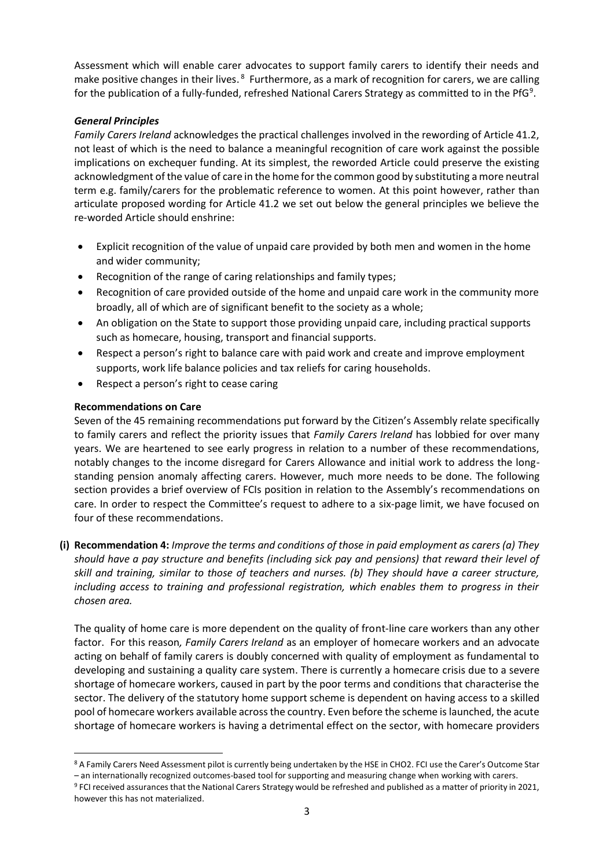Assessment which will enable carer advocates to support family carers to identify their needs and make positive changes in their lives.<sup>8</sup> Furthermore, as a mark of recognition for carers, we are calling for the publication of a fully-funded, refreshed National Carers Strategy as committed to in the PfG<sup>9</sup>.

# *General Principles*

*Family Carers Ireland* acknowledges the practical challenges involved in the rewording of Article 41.2, not least of which is the need to balance a meaningful recognition of care work against the possible implications on exchequer funding. At its simplest, the reworded Article could preserve the existing acknowledgment of the value of care in the home for the common good by substituting a more neutral term e.g. family/carers for the problematic reference to women. At this point however, rather than articulate proposed wording for Article 41.2 we set out below the general principles we believe the re-worded Article should enshrine:

- Explicit recognition of the value of unpaid care provided by both men and women in the home and wider community;
- Recognition of the range of caring relationships and family types;
- Recognition of care provided outside of the home and unpaid care work in the community more broadly, all of which are of significant benefit to the society as a whole;
- An obligation on the State to support those providing unpaid care, including practical supports such as homecare, housing, transport and financial supports.
- Respect a person's right to balance care with paid work and create and improve employment supports, work life balance policies and tax reliefs for caring households.
- Respect a person's right to cease caring

# **Recommendations on Care**

Seven of the 45 remaining recommendations put forward by the Citizen's Assembly relate specifically to family carers and reflect the priority issues that *Family Carers Ireland* has lobbied for over many years. We are heartened to see early progress in relation to a number of these recommendations, notably changes to the income disregard for Carers Allowance and initial work to address the longstanding pension anomaly affecting carers. However, much more needs to be done. The following section provides a brief overview of FCIs position in relation to the Assembly's recommendations on care. In order to respect the Committee's request to adhere to a six-page limit, we have focused on four of these recommendations.

**(i) Recommendation 4:** *Improve the terms and conditions of those in paid employment as carers (a) They should have a pay structure and benefits (including sick pay and pensions) that reward their level of skill and training, similar to those of teachers and nurses. (b) They should have a career structure, including access to training and professional registration, which enables them to progress in their chosen area.*

The quality of home care is more dependent on the quality of front-line care workers than any other factor. For this reason*, Family Carers Ireland* as an employer of homecare workers and an advocate acting on behalf of family carers is doubly concerned with quality of employment as fundamental to developing and sustaining a quality care system. There is currently a homecare crisis due to a severe shortage of homecare workers, caused in part by the poor terms and conditions that characterise the sector. The delivery of the statutory home support scheme is dependent on having access to a skilled pool of homecare workers available across the country. Even before the scheme is launched, the acute shortage of homecare workers is having a detrimental effect on the sector, with homecare providers

<sup>1</sup> 8 A Family Carers Need Assessment pilot is currently being undertaken by the HSE in CHO2. FCI use the Carer's Outcome Star – an internationally recognized outcomes-based tool for supporting and measuring change when working with carers.

<sup>&</sup>lt;sup>9</sup> FCI received assurances that the National Carers Strategy would be refreshed and published as a matter of priority in 2021,

however this has not materialized.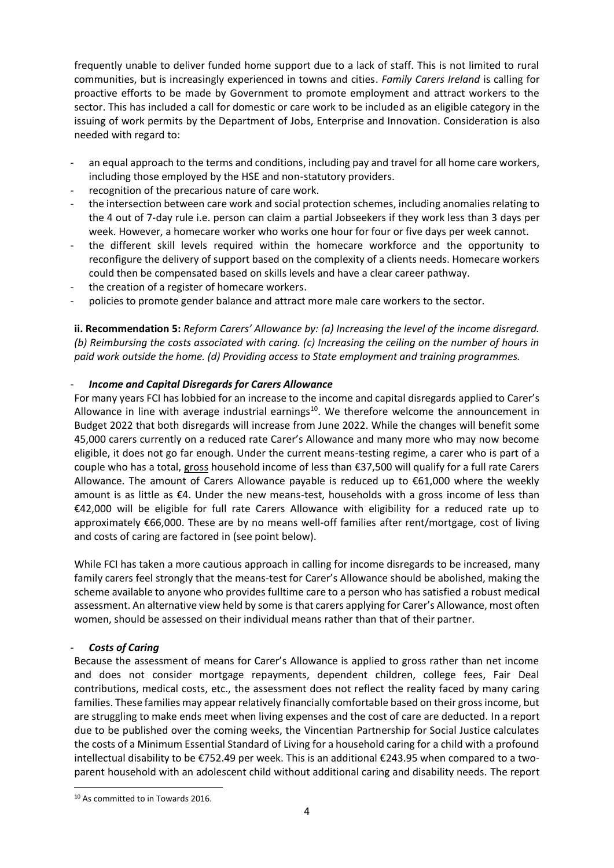frequently unable to deliver funded home support due to a lack of staff. This is not limited to rural communities, but is increasingly experienced in towns and cities. *Family Carers Ireland* is calling for proactive efforts to be made by Government to promote employment and attract workers to the sector. This has included a call for domestic or care work to be included as an eligible category in the issuing of work permits by the Department of Jobs, Enterprise and Innovation. Consideration is also needed with regard to:

- an equal approach to the terms and conditions, including pay and travel for all home care workers, including those employed by the HSE and non-statutory providers.
- recognition of the precarious nature of care work.
- the intersection between care work and social protection schemes, including anomalies relating to the 4 out of 7-day rule i.e. person can claim a partial Jobseekers if they work less than 3 days per week. However, a homecare worker who works one hour for four or five days per week cannot.
- the different skill levels required within the homecare workforce and the opportunity to reconfigure the delivery of support based on the complexity of a clients needs. Homecare workers could then be compensated based on skills levels and have a clear career pathway.
- the creation of a register of homecare workers.
- policies to promote gender balance and attract more male care workers to the sector.

**ii. Recommendation 5:** *Reform Carers' Allowance by: (a) Increasing the level of the income disregard. (b) Reimbursing the costs associated with caring. (c) Increasing the ceiling on the number of hours in paid work outside the home. (d) Providing access to State employment and training programmes.*

# - *Income and Capital Disregards for Carers Allowance*

For many years FCI has lobbied for an increase to the income and capital disregards applied to Carer's Allowance in line with average industrial earnings $^{10}$ . We therefore welcome the announcement in Budget 2022 that both disregards will increase from June 2022. While the changes will benefit some 45,000 carers currently on a reduced rate Carer's Allowance and many more who may now become eligible, it does not go far enough. Under the current means-testing regime, a carer who is part of a couple who has a total, gross household income of less than €37,500 will qualify for a full rate Carers Allowance. The amount of Carers Allowance payable is reduced up to €61,000 where the weekly amount is as little as €4. Under the new means-test, households with a gross income of less than €42,000 will be eligible for full rate Carers Allowance with eligibility for a reduced rate up to approximately €66,000. These are by no means well-off families after rent/mortgage, cost of living and costs of caring are factored in (see point below).

While FCI has taken a more cautious approach in calling for income disregards to be increased, many family carers feel strongly that the means-test for Carer's Allowance should be abolished, making the scheme available to anyone who provides fulltime care to a person who has satisfied a robust medical assessment. An alternative view held by some is that carers applying for Carer's Allowance, most often women, should be assessed on their individual means rather than that of their partner.

# - *Costs of Caring*

1

Because the assessment of means for Carer's Allowance is applied to gross rather than net income and does not consider mortgage repayments, dependent children, college fees, Fair Deal contributions, medical costs, etc., the assessment does not reflect the reality faced by many caring families. These families may appear relatively financially comfortable based on their gross income, but are struggling to make ends meet when living expenses and the cost of care are deducted. In a report due to be published over the coming weeks, the Vincentian Partnership for Social Justice calculates the costs of a Minimum Essential Standard of Living for a household caring for a child with a profound intellectual disability to be €752.49 per week. This is an additional €243.95 when compared to a twoparent household with an adolescent child without additional caring and disability needs. The report

<sup>10</sup> As committed to in Towards 2016.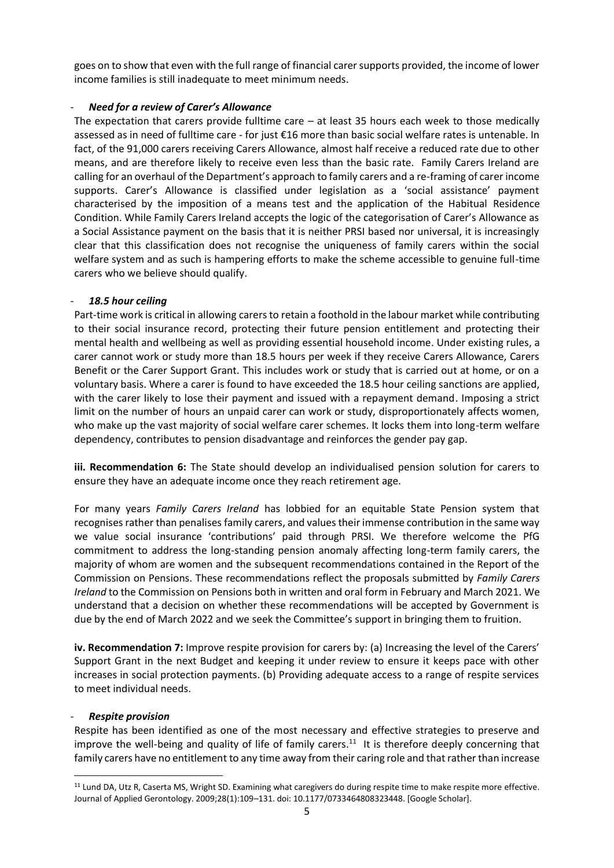goes on to show that even with the full range of financial carer supports provided, the income of lower income families is still inadequate to meet minimum needs.

#### - *Need for a review of Carer's Allowance*

The expectation that carers provide fulltime care  $-$  at least 35 hours each week to those medically assessed as in need of fulltime care - for just €16 more than basic social welfare rates is untenable. In fact, of the 91,000 carers receiving Carers Allowance, almost half receive a reduced rate due to other means, and are therefore likely to receive even less than the basic rate. Family Carers Ireland are calling for an overhaul of the Department's approach to family carers and a re-framing of carer income supports. Carer's Allowance is classified under legislation as a 'social assistance' payment characterised by the imposition of a means test and the application of the Habitual Residence Condition. While Family Carers Ireland accepts the logic of the categorisation of Carer's Allowance as a Social Assistance payment on the basis that it is neither PRSI based nor universal, it is increasingly clear that this classification does not recognise the uniqueness of family carers within the social welfare system and as such is hampering efforts to make the scheme accessible to genuine full-time carers who we believe should qualify.

#### - *18.5 hour ceiling*

Part-time work is critical in allowing carers to retain a foothold in the labour market while contributing to their social insurance record, protecting their future pension entitlement and protecting their mental health and wellbeing as well as providing essential household income. Under existing rules, a carer cannot work or study more than 18.5 hours per week if they receive Carers Allowance, Carers Benefit or the Carer Support Grant. This includes work or study that is carried out at home, or on a voluntary basis. Where a carer is found to have exceeded the 18.5 hour ceiling sanctions are applied, with the carer likely to lose their payment and issued with a repayment demand. Imposing a strict limit on the number of hours an unpaid carer can work or study, disproportionately affects women, who make up the vast majority of social welfare carer schemes. It locks them into long-term welfare dependency, contributes to pension disadvantage and reinforces the gender pay gap.

**iii. Recommendation 6:** The State should develop an individualised pension solution for carers to ensure they have an adequate income once they reach retirement age.

For many years *Family Carers Ireland* has lobbied for an equitable State Pension system that recognises rather than penalises family carers, and values their immense contribution in the same way we value social insurance 'contributions' paid through PRSI. We therefore welcome the PfG commitment to address the long-standing pension anomaly affecting long-term family carers, the majority of whom are women and the subsequent recommendations contained in the Report of the Commission on Pensions. These recommendations reflect the proposals submitted by *Family Carers Ireland* to the Commission on Pensions both in written and oral form in February and March 2021. We understand that a decision on whether these recommendations will be accepted by Government is due by the end of March 2022 and we seek the Committee's support in bringing them to fruition.

**iv. Recommendation 7:** Improve respite provision for carers by: (a) Increasing the level of the Carers' Support Grant in the next Budget and keeping it under review to ensure it keeps pace with other increases in social protection payments. (b) Providing adequate access to a range of respite services to meet individual needs.

#### - *Respite provision*

1

Respite has been identified as one of the most necessary and effective strategies to preserve and improve the well-being and quality of life of family carers.<sup>11</sup> It is therefore deeply concerning that family carers have no entitlement to any time away from their caring role and that rather than increase

<sup>&</sup>lt;sup>11</sup> Lund DA, Utz R, Caserta MS, Wright SD. Examining what caregivers do during respite time to make respite more effective. Journal of Applied Gerontology. 2009;28(1):109–131. doi: 10.1177/0733464808323448. [Google Scholar].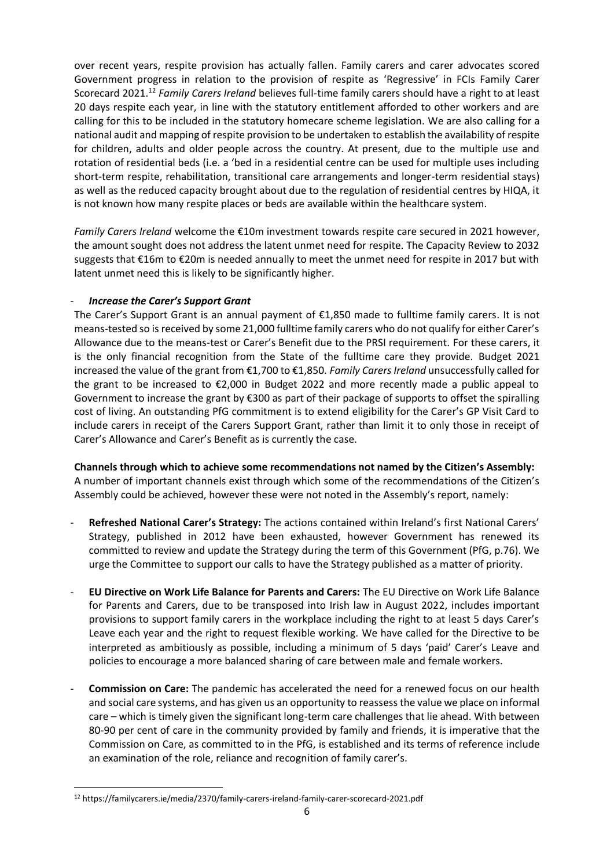over recent years, respite provision has actually fallen. Family carers and carer advocates scored Government progress in relation to the provision of respite as 'Regressive' in FCIs Family Carer Scorecard 2021.<sup>12</sup> *Family Carers Ireland* believes full-time family carers should have a right to at least 20 days respite each year, in line with the statutory entitlement afforded to other workers and are calling for this to be included in the statutory homecare scheme legislation. We are also calling for a national audit and mapping of respite provision to be undertaken to establish the availability of respite for children, adults and older people across the country. At present, due to the multiple use and rotation of residential beds (i.e. a 'bed in a residential centre can be used for multiple uses including short-term respite, rehabilitation, transitional care arrangements and longer-term residential stays) as well as the reduced capacity brought about due to the regulation of residential centres by HIQA, it is not known how many respite places or beds are available within the healthcare system.

*Family Carers Ireland* welcome the €10m investment towards respite care secured in 2021 however, the amount sought does not address the latent unmet need for respite. The Capacity Review to 2032 suggests that €16m to €20m is needed annually to meet the unmet need for respite in 2017 but with latent unmet need this is likely to be significantly higher.

# - *Increase the Carer's Support Grant*

The Carer's Support Grant is an annual payment of €1,850 made to fulltime family carers. It is not means-tested so is received by some 21,000 fulltime family carers who do not qualify for either Carer's Allowance due to the means-test or Carer's Benefit due to the PRSI requirement. For these carers, it is the only financial recognition from the State of the fulltime care they provide. Budget 2021 increased the value of the grant from €1,700 to €1,850. *Family Carers Ireland* unsuccessfully called for the grant to be increased to €2,000 in Budget 2022 and more recently made a public appeal to Government to increase the grant by €300 as part of their package of supports to offset the spiralling cost of living. An outstanding PfG commitment is to extend eligibility for the Carer's GP Visit Card to include carers in receipt of the Carers Support Grant, rather than limit it to only those in receipt of Carer's Allowance and Carer's Benefit as is currently the case.

**Channels through which to achieve some recommendations not named by the Citizen's Assembly:** A number of important channels exist through which some of the recommendations of the Citizen's Assembly could be achieved, however these were not noted in the Assembly's report, namely:

- **Refreshed National Carer's Strategy:** The actions contained within Ireland's first National Carers' Strategy, published in 2012 have been exhausted, however Government has renewed its committed to review and update the Strategy during the term of this Government (PfG, p.76). We urge the Committee to support our calls to have the Strategy published as a matter of priority.
- **EU Directive on Work Life Balance for Parents and Carers:** The EU Directive on Work Life Balance for Parents and Carers, due to be transposed into Irish law in August 2022, includes important provisions to support family carers in the workplace including the right to at least 5 days Carer's Leave each year and the right to request flexible working. We have called for the Directive to be interpreted as ambitiously as possible, including a minimum of 5 days 'paid' Carer's Leave and policies to encourage a more balanced sharing of care between male and female workers.
- **Commission on Care:** The pandemic has accelerated the need for a renewed focus on our health and social care systems, and has given us an opportunity to reassess the value we place on informal care – which is timely given the significant long-term care challenges that lie ahead. With between 80-90 per cent of care in the community provided by family and friends, it is imperative that the Commission on Care, as committed to in the PfG, is established and its terms of reference include an examination of the role, reliance and recognition of family carer's.

1

<sup>12</sup> https://familycarers.ie/media/2370/family-carers-ireland-family-carer-scorecard-2021.pdf